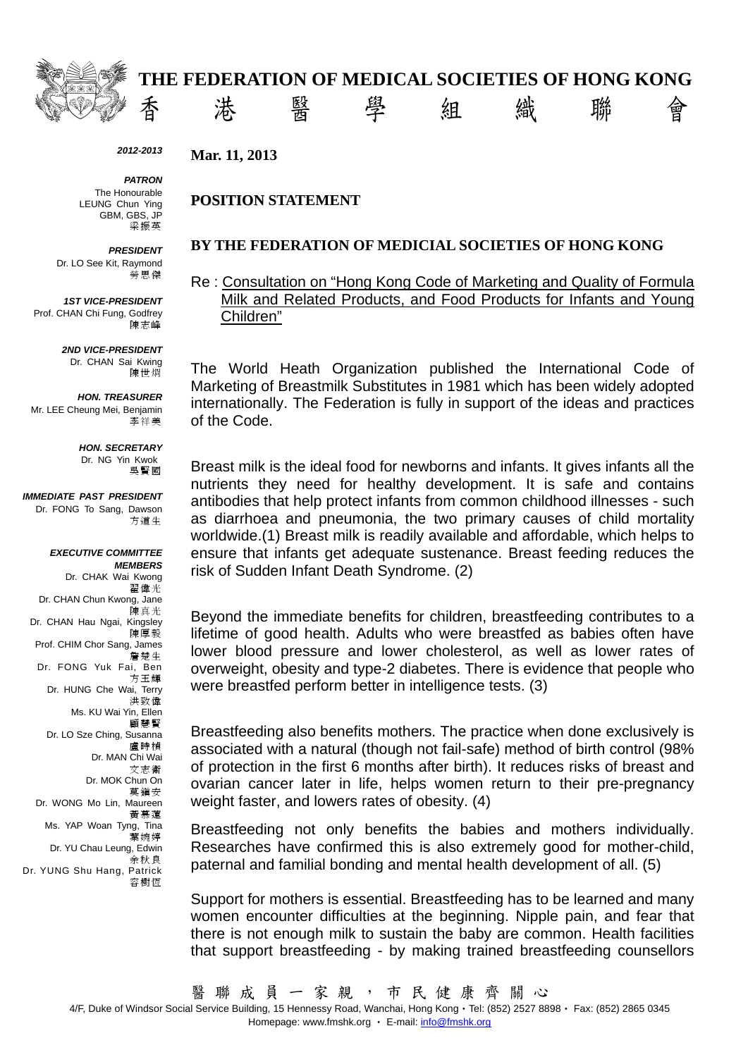

**、《《《《《》春 卷 醫 學 組 織 瓣 會** 

#### *2012-2013*

*PATRON*  The Honourable LEUNG Chun Ying GBM, GBS, JP 梁振英

*PRESIDENT* 

Dr. LO See Kit, Raymond 勞思傑

*1ST VICE-PRESIDENT*  Prof. CHAN Chi Fung, Godfrey 陳志峰

> *2ND VICE-PRESIDENT*  Dr. CHAN Sai Kwing 陳世烱

*HON. TREASURER*  Mr. LEE Cheung Mei, Benjamin 李祥美

> *HON. SECRETARY*  Dr. NG Yin Kwok 吳賢國

*IMMEDIATE PAST PRESIDENT*  Dr. FONG To Sang, Dawson 方道生

#### *EXECUTIVE COMMITTEE MEMBERS*

Dr. CHAK Wai Kwong 翟偉光 Dr. CHAN Chun Kwong, Jane 陳真光 Dr. CHAN Hau Ngai, Kingsley 陳厚毅 Prof. CHIM Chor Sang, James 詹楚生 Dr. FONG Yuk Fai, Ben 方玉輝 Dr. HUNG Che Wai, Terry 洪致偉 Ms. KU Wai Yin, Ellen 顧慧賢 Dr. LO Sze Ching, Susanna 盧時楨 Dr. MAN Chi Wai 文志衛 Dr. MOK Chun On 莫鎮安 Dr. WONG Mo Lin, Maureen 黃慕蓮 Ms. YAP Woan Tyng, Tina 葉婉婷 Dr. YU Chau Leung, Edwin 余秋良 Dr. YUNG Shu Hang, Patrick 容樹恆

**Mar. 11, 2013** 

#### **POSITION STATEMENT**

### **BY THE FEDERATION OF MEDICIAL SOCIETIES OF HONG KONG**

Re : Consultation on "Hong Kong Code of Marketing and Quality of Formula Milk and Related Products, and Food Products for Infants and Young Children"

The World Heath Organization published the International Code of Marketing of Breastmilk Substitutes in 1981 which has been widely adopted internationally. The Federation is fully in support of the ideas and practices of the Code.

Breast milk is the ideal food for newborns and infants. It gives infants all the nutrients they need for healthy development. It is safe and contains antibodies that help protect infants from common childhood illnesses - such as diarrhoea and pneumonia, the two primary causes of child mortality worldwide.(1) Breast milk is readily available and affordable, which helps to ensure that infants get adequate sustenance. Breast feeding reduces the risk of Sudden Infant Death Syndrome. (2)

Beyond the immediate benefits for children, breastfeeding contributes to a lifetime of good health. Adults who were breastfed as babies often have lower blood pressure and lower cholesterol, as well as lower rates of overweight, obesity and type-2 diabetes. There is evidence that people who were breastfed perform better in intelligence tests. (3)

Breastfeeding also benefits mothers. The practice when done exclusively is associated with a natural (though not fail-safe) method of birth control (98% of protection in the first 6 months after birth). It reduces risks of breast and ovarian cancer later in life, helps women return to their pre-pregnancy weight faster, and lowers rates of obesity. (4)

Breastfeeding not only benefits the babies and mothers individually. Researches have confirmed this is also extremely good for mother-child, paternal and familial bonding and mental health development of all. (5)

Support for mothers is essential. Breastfeeding has to be learned and many women encounter difficulties at the beginning. Nipple pain, and fear that there is not enough milk to sustain the baby are common. Health facilities that support breastfeeding - by making trained breastfeeding counsellors

醫 聯 成 員 一 家 親 , 市 民 健 康 齊 關 心

4/F, Duke of Windsor Social Service Building, 15 Hennessy Road, Wanchai, Hong Kong · Tel: (852) 2527 8898 · Fax: (852) 2865 0345 Homepage: www.fmshk.org • E-mail: info@fmshk.org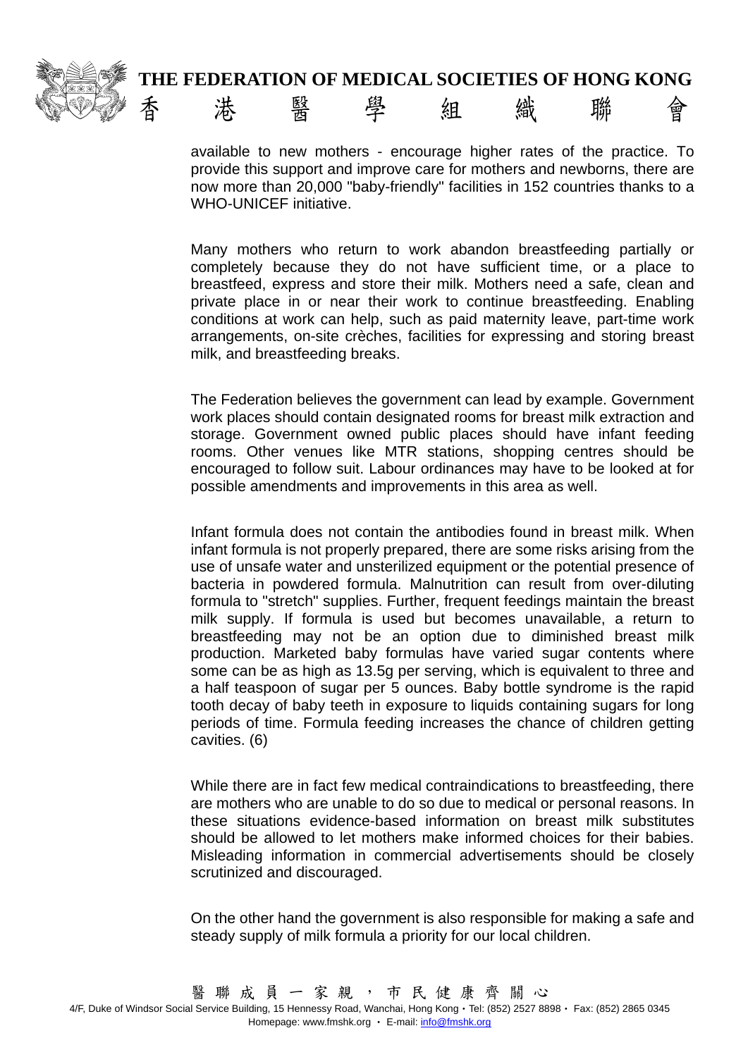# **THE FEDERATION OF MEDICAL SOCIETIES OF HONG KONG**



available to new mothers - encourage higher rates of the practice. To provide this support and improve care for mothers and newborns, there are now more than 20,000 "baby-friendly" facilities in 152 countries thanks to a WHO-UNICEF initiative.

Many mothers who return to work abandon breastfeeding partially or completely because they do not have sufficient time, or a place to breastfeed, express and store their milk. Mothers need a safe, clean and private place in or near their work to continue breastfeeding. Enabling conditions at work can help, such as paid maternity leave, part-time work arrangements, on-site crèches, facilities for expressing and storing breast milk, and breastfeeding breaks.

The Federation believes the government can lead by example. Government work places should contain designated rooms for breast milk extraction and storage. Government owned public places should have infant feeding rooms. Other venues like MTR stations, shopping centres should be encouraged to follow suit. Labour ordinances may have to be looked at for possible amendments and improvements in this area as well.

Infant formula does not contain the antibodies found in breast milk. When infant formula is not properly prepared, there are some risks arising from the use of unsafe water and unsterilized equipment or the potential presence of bacteria in powdered formula. Malnutrition can result from over-diluting formula to "stretch" supplies. Further, frequent feedings maintain the breast milk supply. If formula is used but becomes unavailable, a return to breastfeeding may not be an option due to diminished breast milk production. Marketed baby formulas have varied sugar contents where some can be as high as 13.5g per serving, which is equivalent to three and a half teaspoon of sugar per 5 ounces. Baby bottle syndrome is the rapid tooth decay of baby teeth in exposure to liquids containing sugars for long periods of time. Formula feeding increases the chance of children getting cavities. (6)

While there are in fact few medical contraindications to breastfeeding, there are mothers who are unable to do so due to medical or personal reasons. In these situations evidence-based information on breast milk substitutes should be allowed to let mothers make informed choices for their babies. Misleading information in commercial advertisements should be closely scrutinized and discouraged.

On the other hand the government is also responsible for making a safe and steady supply of milk formula a priority for our local children.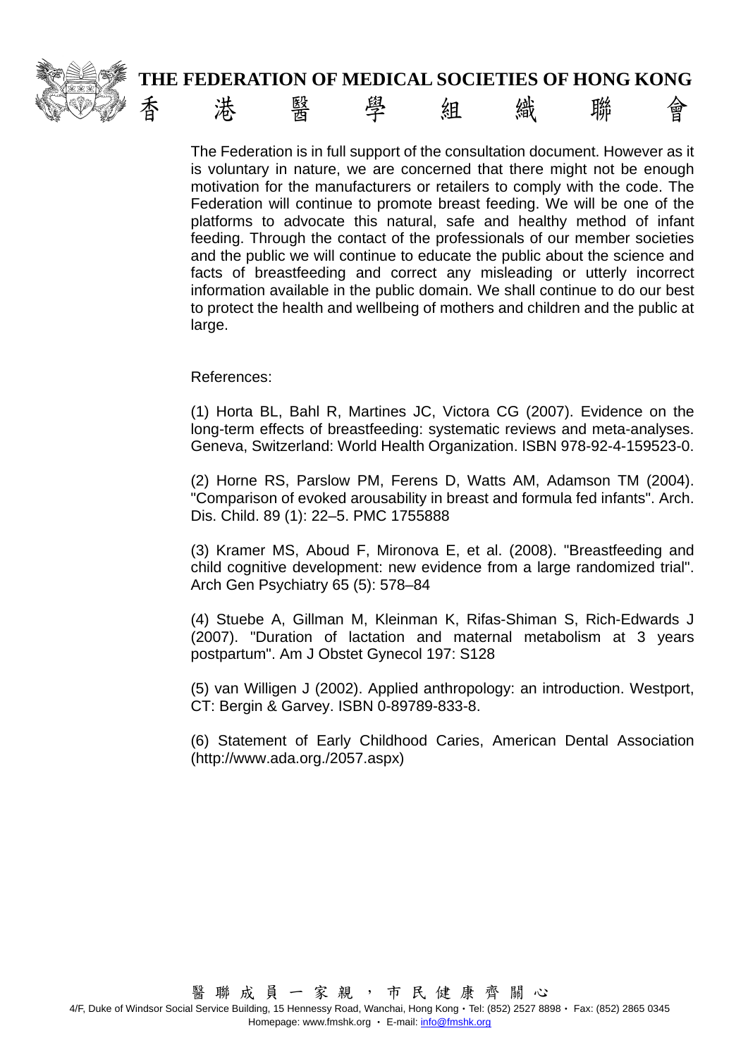

The Federation is in full support of the consultation document. However as it is voluntary in nature, we are concerned that there might not be enough motivation for the manufacturers or retailers to comply with the code. The Federation will continue to promote breast feeding. We will be one of the platforms to advocate this natural, safe and healthy method of infant feeding. Through the contact of the professionals of our member societies and the public we will continue to educate the public about the science and facts of breastfeeding and correct any misleading or utterly incorrect information available in the public domain. We shall continue to do our best to protect the health and wellbeing of mothers and children and the public at large.

#### References:

(1) Horta BL, Bahl R, Martines JC, Victora CG (2007). Evidence on the long-term effects of breastfeeding: systematic reviews and meta-analyses. Geneva, Switzerland: World Health Organization. ISBN 978-92-4-159523-0.

(2) Horne RS, Parslow PM, Ferens D, Watts AM, Adamson TM (2004). "Comparison of evoked arousability in breast and formula fed infants". Arch. Dis. Child. 89 (1): 22–5. PMC 1755888

(3) Kramer MS, Aboud F, Mironova E, et al. (2008). "Breastfeeding and child cognitive development: new evidence from a large randomized trial". Arch Gen Psychiatry 65 (5): 578–84

(4) Stuebe A, Gillman M, Kleinman K, Rifas-Shiman S, Rich-Edwards J (2007). "Duration of lactation and maternal metabolism at 3 years postpartum". Am J Obstet Gynecol 197: S128

(5) van Willigen J (2002). Applied anthropology: an introduction. Westport, CT: Bergin & Garvey. ISBN 0-89789-833-8.

(6) Statement of Early Childhood Caries, American Dental Association (http://www.ada.org./2057.aspx)

4/F, Duke of Windsor Social Service Building, 15 Hennessy Road, Wanchai, Hong Kong · Tel: (852) 2527 8898 · Fax: (852) 2865 0345 Homepage: www.fmshk.org • E-mail: info@fmshk.org